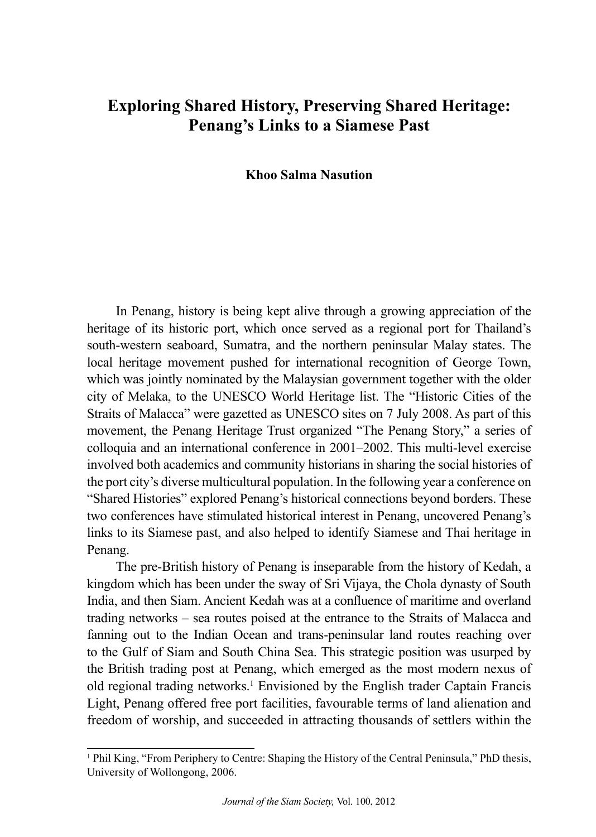# **Exploring Shared History, Preserving Shared Heritage: Penang's Links to a Siamese Past**

#### **Khoo Salma Nasution**

In Penang, history is being kept alive through a growing appreciation of the heritage of its historic port, which once served as a regional port for Thailand's south-western seaboard, Sumatra, and the northern peninsular Malay states. The local heritage movement pushed for international recognition of George Town, which was jointly nominated by the Malaysian government together with the older city of Melaka, to the UNESCO World Heritage list. The "Historic Cities of the Straits of Malacca" were gazetted as UNESCO sites on 7 July 2008. As part of this movement, the Penang Heritage Trust organized "The Penang Story," a series of colloquia and an international conference in 2001–2002. This multi-level exercise involved both academics and community historians in sharing the social histories of the port city's diverse multicultural population. In the following year a conference on "Shared Histories" explored Penang's historical connections beyond borders. These two conferences have stimulated historical interest in Penang, uncovered Penang's links to its Siamese past, and also helped to identify Siamese and Thai heritage in Penang.

The pre-British history of Penang is inseparable from the history of Kedah, a kingdom which has been under the sway of Sri Vijaya, the Chola dynasty of South India, and then Siam. Ancient Kedah was at a confluence of maritime and overland trading networks – sea routes poised at the entrance to the Straits of Malacca and fanning out to the Indian Ocean and trans-peninsular land routes reaching over to the Gulf of Siam and South China Sea. This strategic position was usurped by the British trading post at Penang, which emerged as the most modern nexus of old regional trading networks.<sup>1</sup> Envisioned by the English trader Captain Francis Light, Penang offered free port facilities, favourable terms of land alienation and freedom of worship, and succeeded in attracting thousands of settlers within the

<sup>&</sup>lt;sup>1</sup> Phil King, "From Periphery to Centre: Shaping the History of the Central Peninsula," PhD thesis, University of Wollongong, 2006.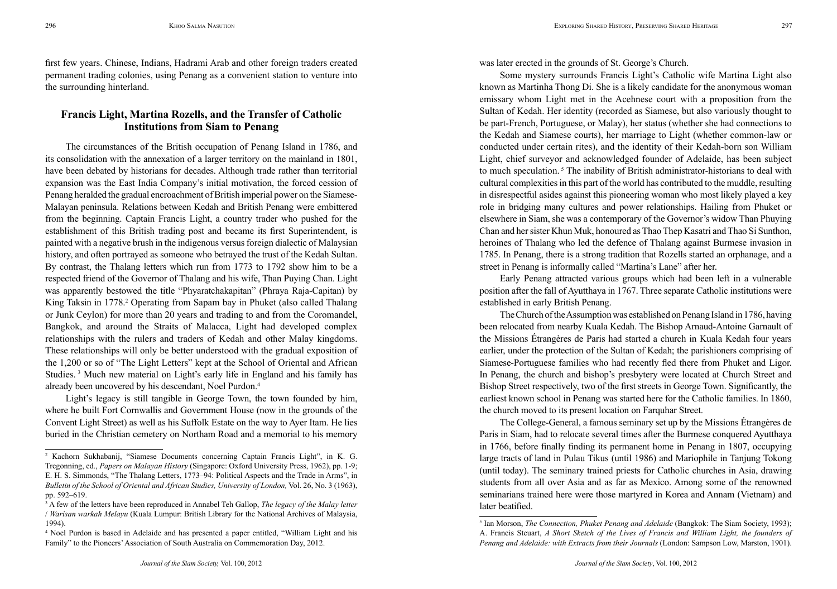first few years. Chinese, Indians, Hadrami Arab and other foreign traders created permanent trading colonies, using Penang as a convenient station to venture into the surrounding hinterland.

## **Francis Light, Martina Rozells, and the Transfer of Catholic Institutions from Siam to Penang**

The circumstances of the British occupation of Penang Island in 1786, and its consolidation with the annexation of a larger territory on the mainland in 1801, have been debated by historians for decades. Although trade rather than territorial expansion was the East India Company's initial motivation, the forced cession of Penang heralded the gradual encroachment of British imperial power on the Siamese-Malayan peninsula. Relations between Kedah and British Penang were embittered from the beginning. Captain Francis Light, a country trader who pushed for the establishment of this British trading post and became its first Superintendent, is painted with a negative brush in the indigenous versus foreign dialectic of Malaysian history, and often portrayed as someone who betrayed the trust of the Kedah Sultan. By contrast, the Thalang letters which run from 1773 to 1792 show him to be a respected friend of the Governor of Thalang and his wife, Than Puying Chan. Light was apparently bestowed the title "Phyaratchakapitan" (Phraya Raja-Capitan) by King Taksin in 1778.<sup>2</sup> Operating from Sapam bay in Phuket (also called Thalang or Junk Ceylon) for more than 20 years and trading to and from the Coromandel, Bangkok, and around the Straits of Malacca, Light had developed complex relationships with the rulers and traders of Kedah and other Malay kingdoms. These relationships will only be better understood with the gradual exposition of the 1,200 or so of "The Light Letters" kept at the School of Oriental and African Studies. 3 Much new material on Light's early life in England and his family has already been uncovered by his descendant, Noel Purdon.4

Light's legacy is still tangible in George Town, the town founded by him, where he built Fort Cornwallis and Government House (now in the grounds of the Convent Light Street) as well as his Suffolk Estate on the way to Ayer Itam. He lies buried in the Christian cemetery on Northam Road and a memorial to his memory was later erected in the grounds of St. George's Church.

Some mystery surrounds Francis Light's Catholic wife Martina Light also known as Martinha Thong Di. She is a likely candidate for the anonymous woman emissary whom Light met in the Acehnese court with a proposition from the Sultan of Kedah. Her identity (recorded as Siamese, but also variously thought to be part-French, Portuguese, or Malay), her status (whether she had connections to the Kedah and Siamese courts), her marriage to Light (whether common-law or conducted under certain rites), and the identity of their Kedah-born son William Light, chief surveyor and acknowledged founder of Adelaide, has been subject to much speculation. 5 The inability of British administrator-historians to deal with cultural complexities in this part of the world has contributed to the muddle, resulting in disrespectful asides against this pioneering woman who most likely played a key role in bridging many cultures and power relationships. Hailing from Phuket or elsewhere in Siam, she was a contemporary of the Governor's widow Than Phuying Chan and her sister Khun Muk, honoured as Thao Thep Kasatri and Thao Si Sunthon, heroines of Thalang who led the defence of Thalang against Burmese invasion in 1785. In Penang, there is a strong tradition that Rozells started an orphanage, and a street in Penang is informally called "Martina's Lane" after her.

Early Penang attracted various groups which had been left in a vulnerable position after the fall of Ayutthaya in 1767. Three separate Catholic institutions were established in early British Penang.

The Church of the Assumption was established on Penang Island in 1786, having been relocated from nearby Kuala Kedah. The Bishop Arnaud-Antoine Garnault of the Missions Étrangères de Paris had started a church in Kuala Kedah four years earlier, under the protection of the Sultan of Kedah; the parishioners comprising of Siamese-Portuguese families who had recently fled there from Phuket and Ligor. In Penang, the church and bishop's presbytery were located at Church Street and Bishop Street respectively, two of the first streets in George Town. Significantly, the earliest known school in Penang was started here for the Catholic families. In 1860, the church moved to its present location on Farquhar Street.

The College-General, a famous seminary set up by the Missions Étrangères de Paris in Siam, had to relocate several times after the Burmese conquered Ayutthaya in 1766, before finally finding its permanent home in Penang in 1807, occupying large tracts of land in Pulau Tikus (until 1986) and Mariophile in Tanjung Tokong (until today). The seminary trained priests for Catholic churches in Asia, drawing students from all over Asia and as far as Mexico. Among some of the renowned seminarians trained here were those martyred in Korea and Annam (Vietnam) and later beatified.

<sup>2</sup> Kachorn Sukhabanij, "Siamese Documents concerning Captain Francis Light", in K. G. Tregonning, ed., *Papers on Malayan History* (Singapore: Oxford University Press, 1962), pp. 1-9; E. H. S. Simmonds, "The Thalang Letters, 1773–94: Political Aspects and the Trade in Arms", in *Bulletin of the School of Oriental and African Studies, University of London,* Vol. 26, No. 3 (1963), pp. 592–619.

<sup>3</sup> A few of the letters have been reproduced in Annabel Teh Gallop, *The legacy of the Malay letter* / *Warisan warkah Melayu* (Kuala Lumpur: British Library for the National Archives of Malaysia, 1994).

<sup>4</sup> Noel Purdon is based in Adelaide and has presented a paper entitled, "William Light and his Family" to the Pioneers' Association of South Australia on Commemoration Day, 2012.

<sup>5</sup> Ian Morson, *The Connection, Phuket Penang and Adelaide* (Bangkok: The Siam Society, 1993); A. Francis Steuart, *A Short Sketch of the Lives of Francis and William Light, the founders of Penang and Adelaide: with Extracts from their Journals* (London: Sampson Low, Marston, 1901).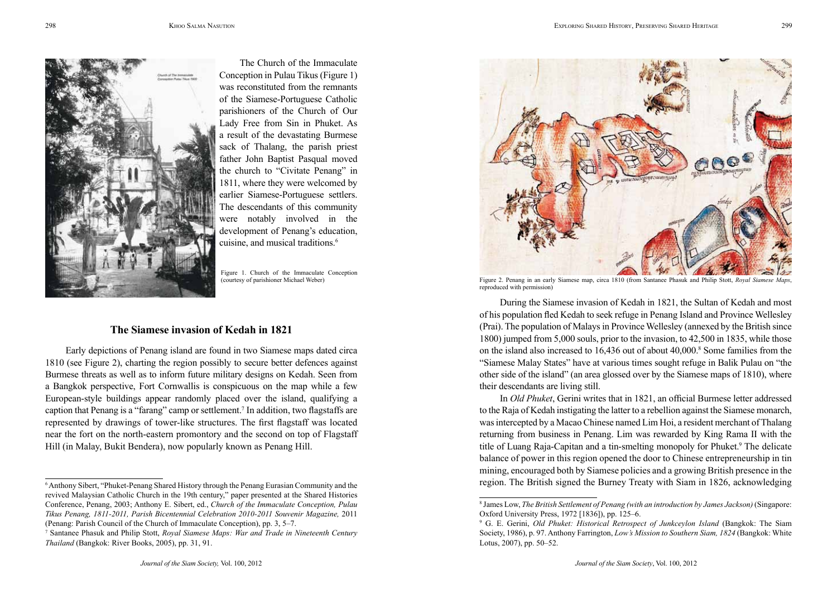

The Church of the Immaculate Conception in Pulau Tikus (Figure 1) was reconstituted from the remnants of the Siamese-Portuguese Catholic parishioners of the Church of Our Lady Free from Sin in Phuket. As a result of the devastating Burmese sack of Thalang, the parish priest father John Baptist Pasqual moved the church to "Civitate Penang" in 1811, where they were welcomed by earlier Siamese-Portuguese settlers. The descendants of this community were notably involved in the development of Penang's education, cuisine, and musical traditions.6

Figure 1. Church of the Immaculate Conception (courtesy of parishioner Michael Weber)

### **The Siamese invasion of Kedah in 1821**

Early depictions of Penang island are found in two Siamese maps dated circa 1810 (see Figure 2), charting the region possibly to secure better defences against Burmese threats as well as to inform future military designs on Kedah. Seen from a Bangkok perspective, Fort Cornwallis is conspicuous on the map while a few European-style buildings appear randomly placed over the island, qualifying a caption that Penang is a "farang" camp or settlement.7 In addition, two flagstaffs are represented by drawings of tower-like structures. The first flagstaff was located near the fort on the north-eastern promontory and the second on top of Flagstaff Hill (in Malay, Bukit Bendera), now popularly known as Penang Hill.



Figure 2. Penang in an early Siamese map, circa 1810 (from Santanee Phasuk and Philip Stott, *Royal Siamese Maps*, reproduced with permission)

During the Siamese invasion of Kedah in 1821, the Sultan of Kedah and most of his population fled Kedah to seek refuge in Penang Island and Province Wellesley (Prai). The population of Malays in Province Wellesley (annexed by the British since 1800) jumped from 5,000 souls, prior to the invasion, to 42,500 in 1835, while those on the island also increased to 16,436 out of about 40,000.<sup>8</sup> Some families from the "Siamese Malay States" have at various times sought refuge in Balik Pulau on "the other side of the island" (an area glossed over by the Siamese maps of 1810), where their descendants are living still.

In *Old Phuket*, Gerini writes that in 1821, an official Burmese letter addressed to the Raja of Kedah instigating the latter to a rebellion against the Siamese monarch, was intercepted by a Macao Chinese named Lim Hoi, a resident merchant of Thalang returning from business in Penang. Lim was rewarded by King Rama II with the title of Luang Raja-Capitan and a tin-smelting monopoly for Phuket.<sup>9</sup> The delicate balance of power in this region opened the door to Chinese entrepreneurship in tin mining, encouraged both by Siamese policies and a growing British presence in the region. The British signed the Burney Treaty with Siam in 1826, acknowledging

<sup>6</sup> Anthony Sibert, "Phuket-Penang Shared History through the Penang Eurasian Community and the revived Malaysian Catholic Church in the 19th century," paper presented at the Shared Histories Conference, Penang, 2003; Anthony E. Sibert, ed., *Church of the Immaculate Conception, Pulau Tikus Penang, 1811-2011, Parish Bicentennial Celebration 2010-2011 Souvenir Magazine,* 2011 (Penang: Parish Council of the Church of Immaculate Conception), pp. 3, 5–7.

<sup>7</sup> Santanee Phasuk and Philip Stott, *Royal Siamese Maps: War and Trade in Nineteenth Century Thailand* (Bangkok: River Books, 2005), pp. 31, 91.

<sup>8</sup> James Low, *The British Settlement of Penang (with an introduction by James Jackson)* (Singapore: Oxford University Press, 1972 [1836]), pp. 125–6.

<sup>&</sup>lt;sup>9</sup> G. E. Gerini, *Old Phuket: Historical Retrospect of Junkceylon Island* (Bangkok: The Siam Society, 1986), p. 97. Anthony Farrington, *Low's Mission to Southern Siam, 1824* (Bangkok: White Lotus, 2007), pp. 50–52.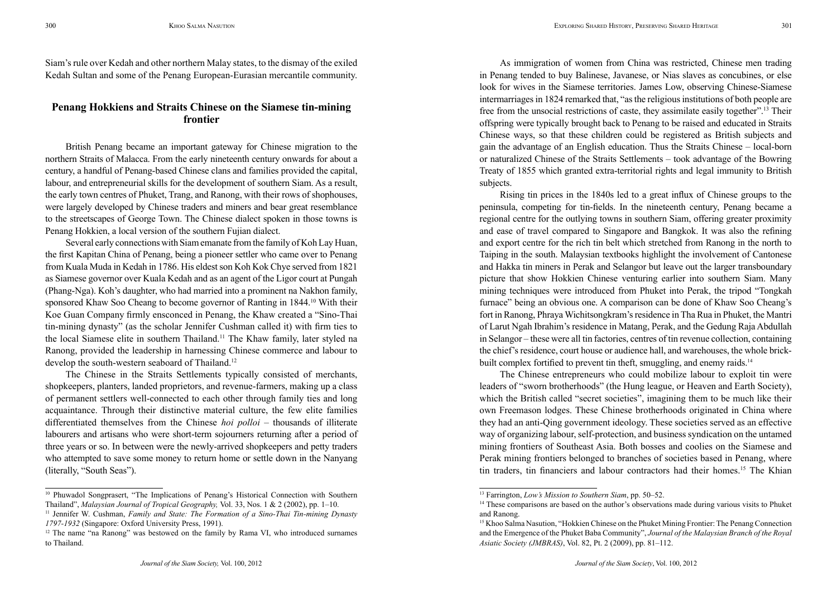Siam's rule over Kedah and other northern Malay states, to the dismay of the exiled Kedah Sultan and some of the Penang European-Eurasian mercantile community.

## **Penang Hokkiens and Straits Chinese on the Siamese tin-mining frontier**

British Penang became an important gateway for Chinese migration to the northern Straits of Malacca. From the early nineteenth century onwards for about a century, a handful of Penang-based Chinese clans and families provided the capital, labour, and entrepreneurial skills for the development of southern Siam. As a result, the early town centres of Phuket, Trang, and Ranong, with their rows of shophouses, were largely developed by Chinese traders and miners and bear great resemblance to the streetscapes of George Town. The Chinese dialect spoken in those towns is Penang Hokkien, a local version of the southern Fujian dialect.

Several early connections with Siam emanate from the family of Koh Lay Huan, the first Kapitan China of Penang, being a pioneer settler who came over to Penang from Kuala Muda in Kedah in 1786. His eldest son Koh Kok Chye served from 1821 as Siamese governor over Kuala Kedah and as an agent of the Ligor court at Pungah (Phang-Nga). Koh's daughter, who had married into a prominent na Nakhon family, sponsored Khaw Soo Cheang to become governor of Ranting in 1844.<sup>10</sup> With their Koe Guan Company firmly ensconced in Penang, the Khaw created a "Sino-Thai tin-mining dynasty" (as the scholar Jennifer Cushman called it) with firm ties to the local Siamese elite in southern Thailand.11 The Khaw family, later styled na Ranong, provided the leadership in harnessing Chinese commerce and labour to develop the south-western seaboard of Thailand.<sup>12</sup>

The Chinese in the Straits Settlements typically consisted of merchants, shopkeepers, planters, landed proprietors, and revenue-farmers, making up a class of permanent settlers well-connected to each other through family ties and long acquaintance. Through their distinctive material culture, the few elite families differentiated themselves from the Chinese *hoi polloi* – thousands of illiterate labourers and artisans who were short-term sojourners returning after a period of three years or so. In between were the newly-arrived shopkeepers and petty traders who attempted to save some money to return home or settle down in the Nanyang (literally, "South Seas").

As immigration of women from China was restricted, Chinese men trading in Penang tended to buy Balinese, Javanese, or Nias slaves as concubines, or else look for wives in the Siamese territories. James Low, observing Chinese-Siamese intermarriages in 1824 remarked that, "as the religious institutions of both people are free from the unsocial restrictions of caste, they assimilate easily together".13 Their offspring were typically brought back to Penang to be raised and educated in Straits Chinese ways, so that these children could be registered as British subjects and gain the advantage of an English education. Thus the Straits Chinese – local-born or naturalized Chinese of the Straits Settlements – took advantage of the Bowring Treaty of 1855 which granted extra-territorial rights and legal immunity to British subjects.

Rising tin prices in the 1840s led to a great influx of Chinese groups to the peninsula, competing for tin-fields. In the nineteenth century, Penang became a regional centre for the outlying towns in southern Siam, offering greater proximity and ease of travel compared to Singapore and Bangkok. It was also the refining and export centre for the rich tin belt which stretched from Ranong in the north to Taiping in the south. Malaysian textbooks highlight the involvement of Cantonese and Hakka tin miners in Perak and Selangor but leave out the larger transboundary picture that show Hokkien Chinese venturing earlier into southern Siam. Many mining techniques were introduced from Phuket into Perak, the tripod "Tongkah furnace" being an obvious one. A comparison can be done of Khaw Soo Cheang's fort in Ranong, Phraya Wichitsongkram's residence in Tha Rua in Phuket, the Mantri of Larut Ngah Ibrahim's residence in Matang, Perak, and the Gedung Raja Abdullah in Selangor – these were all tin factories, centres of tin revenue collection, containing the chief's residence, court house or audience hall, and warehouses, the whole brickbuilt complex fortified to prevent tin theft, smuggling, and enemy raids.<sup>14</sup>

The Chinese entrepreneurs who could mobilize labour to exploit tin were leaders of "sworn brotherhoods" (the Hung league, or Heaven and Earth Society), which the British called "secret societies", imagining them to be much like their own Freemason lodges. These Chinese brotherhoods originated in China where they had an anti-Qing government ideology. These societies served as an effective way of organizing labour, self-protection, and business syndication on the untamed mining frontiers of Southeast Asia. Both bosses and coolies on the Siamese and Perak mining frontiers belonged to branches of societies based in Penang, where tin traders, tin financiers and labour contractors had their homes.<sup>15</sup> The Khian

<sup>&</sup>lt;sup>10</sup> Phuwadol Songprasert, "The Implications of Penang's Historical Connection with Southern Thailand", *Malaysian Journal of Tropical Geography,* Vol. 33, Nos. 1 & 2 (2002), pp. 1–10. 11 Jennifer W. Cushman, *Family and State: The Formation of a Sino-Thai Tin-mining Dynasty* 

*<sup>1797-1932</sup>* (Singapore: Oxford University Press, 1991).

 $12$  The name "na Ranong" was bestowed on the family by Rama VI, who introduced surnames to Thailand.

<sup>13</sup> Farrington, *Low's Mission to Southern Siam*, pp. 50–52.

<sup>&</sup>lt;sup>14</sup> These comparisons are based on the author's observations made during various visits to Phuket and Ranong.

<sup>&</sup>lt;sup>15</sup> Khoo Salma Nasution, "Hokkien Chinese on the Phuket Mining Frontier: The Penang Connection and the Emergence of the Phuket Baba Community", *Journal of the Malaysian Branch of the Royal Asiatic Society (JMBRAS)*, Vol. 82, Pt. 2 (2009), pp. 81–112.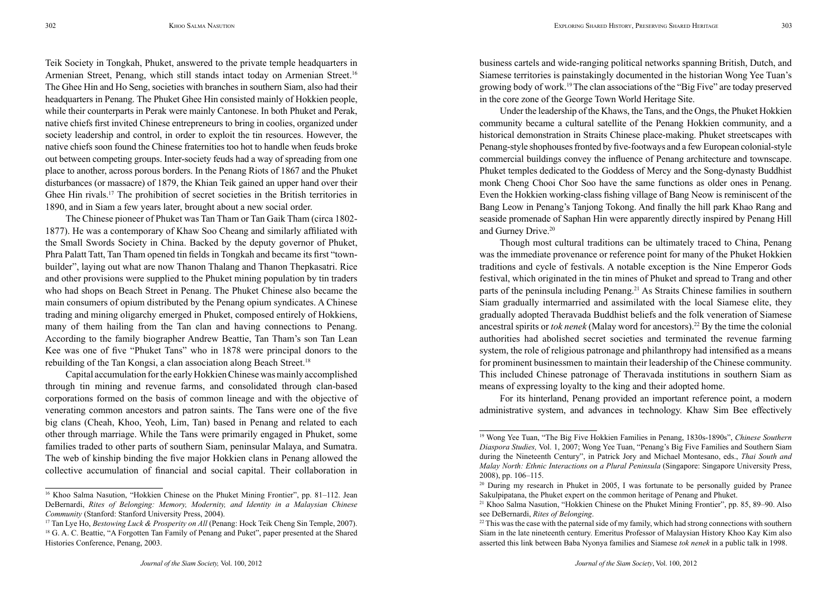Teik Society in Tongkah, Phuket, answered to the private temple headquarters in Armenian Street, Penang, which still stands intact today on Armenian Street.<sup>16</sup> The Ghee Hin and Ho Seng, societies with branches in southern Siam, also had their headquarters in Penang. The Phuket Ghee Hin consisted mainly of Hokkien people, while their counterparts in Perak were mainly Cantonese. In both Phuket and Perak, native chiefs first invited Chinese entrepreneurs to bring in coolies, organized under society leadership and control, in order to exploit the tin resources. However, the native chiefs soon found the Chinese fraternities too hot to handle when feuds broke out between competing groups. Inter-society feuds had a way of spreading from one place to another, across porous borders. In the Penang Riots of 1867 and the Phuket disturbances (or massacre) of 1879, the Khian Teik gained an upper hand over their Ghee Hin rivals.17 The prohibition of secret societies in the British territories in 1890, and in Siam a few years later, brought about a new social order.

The Chinese pioneer of Phuket was Tan Tham or Tan Gaik Tham (circa 1802- 1877). He was a contemporary of Khaw Soo Cheang and similarly affiliated with the Small Swords Society in China. Backed by the deputy governor of Phuket, Phra Palatt Tatt, Tan Tham opened tin fields in Tongkah and became its first "townbuilder", laying out what are now Thanon Thalang and Thanon Thepkasatri. Rice and other provisions were supplied to the Phuket mining population by tin traders who had shops on Beach Street in Penang. The Phuket Chinese also became the main consumers of opium distributed by the Penang opium syndicates. A Chinese trading and mining oligarchy emerged in Phuket, composed entirely of Hokkiens, many of them hailing from the Tan clan and having connections to Penang. According to the family biographer Andrew Beattie, Tan Tham's son Tan Lean Kee was one of five "Phuket Tans" who in 1878 were principal donors to the rebuilding of the Tan Kongsi, a clan association along Beach Street.18

Capital accumulation for the early Hokkien Chinese was mainly accomplished through tin mining and revenue farms, and consolidated through clan-based corporations formed on the basis of common lineage and with the objective of venerating common ancestors and patron saints. The Tans were one of the five big clans (Cheah, Khoo, Yeoh, Lim, Tan) based in Penang and related to each other through marriage. While the Tans were primarily engaged in Phuket, some families traded to other parts of southern Siam, peninsular Malaya, and Sumatra. The web of kinship binding the five major Hokkien clans in Penang allowed the collective accumulation of financial and social capital. Their collaboration in

business cartels and wide-ranging political networks spanning British, Dutch, and Siamese territories is painstakingly documented in the historian Wong Yee Tuan's growing body of work.19 The clan associations of the "Big Five" are today preserved in the core zone of the George Town World Heritage Site.

Under the leadership of the Khaws, the Tans, and the Ongs, the Phuket Hokkien community became a cultural satellite of the Penang Hokkien community, and a historical demonstration in Straits Chinese place-making. Phuket streetscapes with Penang-style shophouses fronted by five-footways and a few European colonial-style commercial buildings convey the influence of Penang architecture and townscape. Phuket temples dedicated to the Goddess of Mercy and the Song-dynasty Buddhist monk Cheng Chooi Chor Soo have the same functions as older ones in Penang. Even the Hokkien working-class fishing village of Bang Neow is reminiscent of the Bang Leow in Penang's Tanjong Tokong. And finally the hill park Khao Rang and seaside promenade of Saphan Hin were apparently directly inspired by Penang Hill and Gurney Drive.20

Though most cultural traditions can be ultimately traced to China, Penang was the immediate provenance or reference point for many of the Phuket Hokkien traditions and cycle of festivals. A notable exception is the Nine Emperor Gods festival, which originated in the tin mines of Phuket and spread to Trang and other parts of the peninsula including Penang.<sup>21</sup> As Straits Chinese families in southern Siam gradually intermarried and assimilated with the local Siamese elite, they gradually adopted Theravada Buddhist beliefs and the folk veneration of Siamese ancestral spirits or *tok nenek* (Malay word for ancestors).22 By the time the colonial authorities had abolished secret societies and terminated the revenue farming system, the role of religious patronage and philanthropy had intensified as a means for prominent businessmen to maintain their leadership of the Chinese community. This included Chinese patronage of Theravada institutions in southern Siam as means of expressing loyalty to the king and their adopted home.

For its hinterland, Penang provided an important reference point, a modern administrative system, and advances in technology. Khaw Sim Bee effectively

<sup>&</sup>lt;sup>16</sup> Khoo Salma Nasution, "Hokkien Chinese on the Phuket Mining Frontier", pp. 81-112. Jean DeBernardi, *Rites of Belonging: Memory, Modernity, and Identity in a Malaysian Chinese Community* (Stanford: Stanford University Press, 2004).

<sup>17</sup> Tan Lye Ho, *Bestowing Luck & Prosperity on All* (Penang: Hock Teik Cheng Sin Temple, 2007). <sup>18</sup> G. A. C. Beattie, "A Forgotten Tan Family of Penang and Puket", paper presented at the Shared Histories Conference, Penang, 2003.

<sup>19</sup> Wong Yee Tuan, "The Big Five Hokkien Families in Penang, 1830s-1890s", *Chinese Southern Diaspora Studies,* Vol. 1, 2007; Wong Yee Tuan, "Penang's Big Five Families and Southern Siam during the Nineteenth Century", in Patrick Jory and Michael Montesano, eds., *Thai South and Malay North: Ethnic Interactions on a Plural Peninsula* (Singapore: Singapore University Press, 2008), pp. 106–115. 20 During my research in Phuket in 2005, I was fortunate to be personally guided by Pranee

Sakulpipatana, the Phuket expert on the common heritage of Penang and Phuket.

<sup>&</sup>lt;sup>21</sup> Khoo Salma Nasution, "Hokkien Chinese on the Phuket Mining Frontier", pp. 85, 89–90. Also see DeBernardi, *Rites of Belonging*.

 $22$  This was the case with the paternal side of my family, which had strong connections with southern Siam in the late nineteenth century. Emeritus Professor of Malaysian History Khoo Kay Kim also asserted this link between Baba Nyonya families and Siamese *tok nenek* in a public talk in 1998.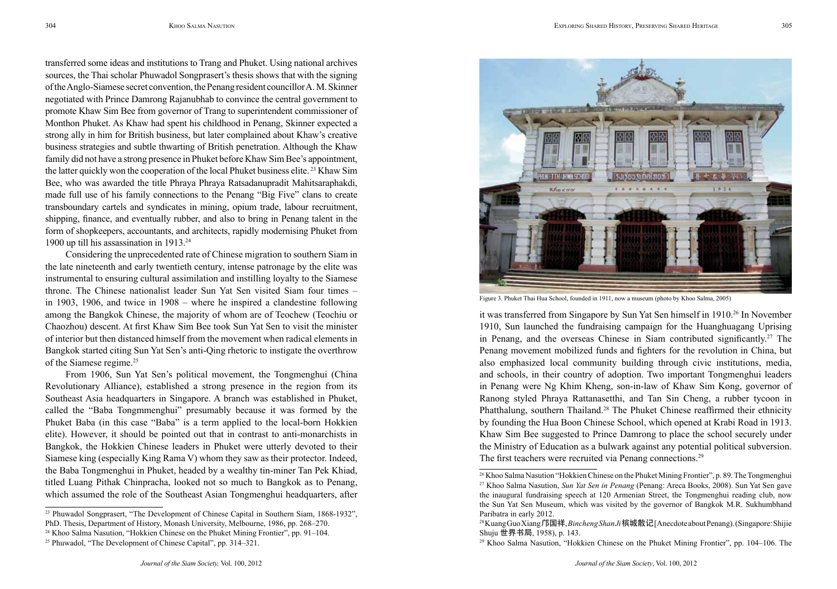transferred some ideas and institutions to Trang and Phuket. Using national archives sources, the Thai scholar Phuwadol Songprasert's thesis shows that with the signing of the Anglo-Siamese secret convention, the Penang resident councillor A. M. Skinner negotiated with Prince Damrong Rajanubhab to convince the central government to promote Khaw Sim Bee from governor of Trang to superintendent commissioner of Monthon Phuket. As Khaw had spent his childhood in Penang, Skinner expected a strong ally in him for British business, but later complained about Khaw's creative business strategies and subtle thwarting of British penetration. Although the Khaw family did not have a strong presence in Phuket before Khaw Sim Bee's appointment, the latter quickly won the cooperation of the local Phuket business elite. 23 Khaw Sim Bee, who was awarded the title Phraya Phraya Ratsadanupradit Mahitsaraphakdi, made full use of his family connections to the Penang "Big Five" clans to create transboundary cartels and syndicates in mining, opium trade, labour recruitment, shipping, finance, and eventually rubber, and also to bring in Penang talent in the form of shopkeepers, accountants, and architects, rapidly modernising Phuket from 1900 up till his assassination in 1913.24

Considering the unprecedented rate of Chinese migration to southern Siam in the late nineteenth and early twentieth century, intense patronage by the elite was instrumental to ensuring cultural assimilation and instilling loyalty to the Siamese throne. The Chinese nationalist leader Sun Yat Sen visited Siam four times – in 1903, 1906, and twice in 1908 – where he inspired a clandestine following among the Bangkok Chinese, the majority of whom are of Teochew (Teochiu or Chaozhou) descent. At first Khaw Sim Bee took Sun Yat Sen to visit the minister of interior but then distanced himself from the movement when radical elements in Bangkok started citing Sun Yat Sen's anti-Qing rhetoric to instigate the overthrow of the Siamese regime.25

From 1906, Sun Yat Sen's political movement, the Tongmenghui (China Revolutionary Alliance), established a strong presence in the region from its Southeast Asia headquarters in Singapore. A branch was established in Phuket, called the "Baba Tongmmenghui" presumably because it was formed by the Phuket Baba (in this case "Baba" is a term applied to the local-born Hokkien elite). However, it should be pointed out that in contrast to anti-monarchists in Bangkok, the Hokkien Chinese leaders in Phuket were utterly devoted to their Siamese king (especially King Rama V) whom they saw as their protector. Indeed, the Baba Tongmenghui in Phuket, headed by a wealthy tin-miner Tan Pek Khiad, titled Luang Pithak Chinpracha, looked not so much to Bangkok as to Penang, which assumed the role of the Southeast Asian Tongmenghui headquarters, after



Figure 3. Phuket Thai Hua School, founded in 1911, now a museum (photo by Khoo Salma, 2005)

it was transferred from Singapore by Sun Yat Sen himself in 1910.<sup>26</sup> In November 1910, Sun launched the fundraising campaign for the Huanghuagang Uprising in Penang, and the overseas Chinese in Siam contributed significantly.<sup>27</sup> The Penang movement mobilized funds and fighters for the revolution in China, but also emphasized local community building through civic institutions, media, and schools, in their country of adoption. Two important Tongmenghui leaders in Penang were Ng Khim Kheng, son-in-law of Khaw Sim Kong, governor of Ranong styled Phraya Rattanasetthi, and Tan Sin Cheng, a rubber tycoon in Phatthalung, southern Thailand.28 The Phuket Chinese reaffirmed their ethnicity by founding the Hua Boon Chinese School, which opened at Krabi Road in 1913. Khaw Sim Bee suggested to Prince Damrong to place the school securely under the Ministry of Education as a bulwark against any potential political subversion. The first teachers were recruited via Penang connections.<sup>29</sup>

<sup>23</sup> Phuwadol Songprasert, "The Development of Chinese Capital in Southern Siam, 1868-1932", PhD. Thesis, Department of History, Monash University, Melbourne, 1986, pp. 268–270.

<sup>24</sup> Khoo Salma Nasution, "Hokkien Chinese on the Phuket Mining Frontier", pp. 91–104.

<sup>25</sup> Phuwadol, "The Development of Chinese Capital", pp. 314–321.

<sup>&</sup>lt;sup>26</sup> Khoo Salma Nasution "Hokkien Chinese on the Phuket Mining Frontier", p. 89. The Tongmenghui 27 Khoo Salma Nasution, *Sun Yat Sen in Penang* (Penang: Areca Books, 2008). Sun Yat Sen gave the inaugural fundraising speech at 120 Armenian Street, the Tongmenghui reading club, now the Sun Yat Sen Museum, which was visited by the governor of Bangkok M.R. Sukhumbhand Paribatra in early 2012.

<sup>28</sup>Kuang Guo Xiang 邝国祥, *Bincheng Shan Ji* 槟城散记[Anecdote about Penang). (Singapore: Shijie Shuju 世界书局, 1958), p. 143.

<sup>29</sup> Khoo Salma Nasution, "Hokkien Chinese on the Phuket Mining Frontier", pp. 104–106. The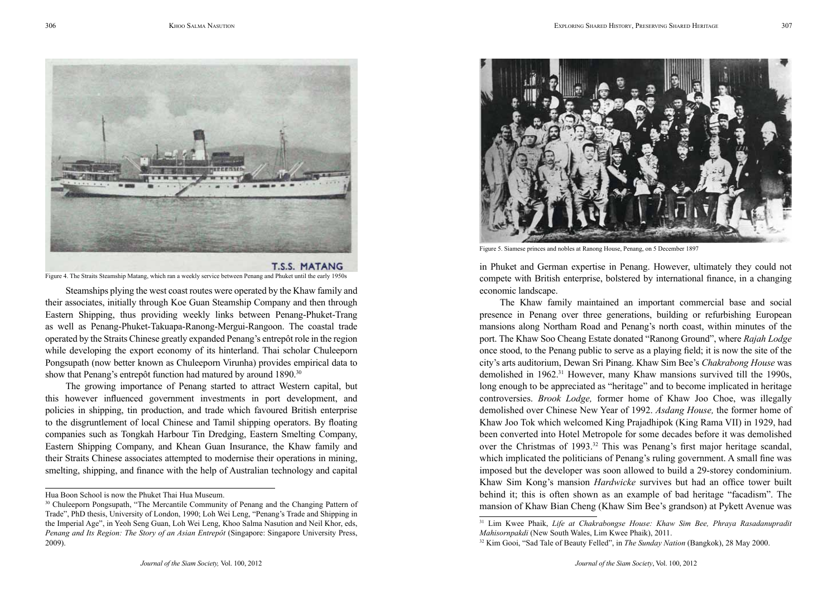

**T.S.S. MATANG** Figure 4. The Straits Steamship Matang, which ran a weekly service between Penang and Phuket until the early 1950s

Steamships plying the west coast routes were operated by the Khaw family and their associates, initially through Koe Guan Steamship Company and then through Eastern Shipping, thus providing weekly links between Penang-Phuket-Trang as well as Penang-Phuket-Takuapa-Ranong-Mergui-Rangoon. The coastal trade operated by the Straits Chinese greatly expanded Penang's entrepôt role in the region while developing the export economy of its hinterland. Thai scholar Chuleeporn Pongsupath (now better known as Chuleeporn Virunha) provides empirical data to show that Penang's entrepôt function had matured by around 1890.<sup>30</sup>

The growing importance of Penang started to attract Western capital, but this however influenced government investments in port development, and policies in shipping, tin production, and trade which favoured British enterprise to the disgruntlement of local Chinese and Tamil shipping operators. By floating companies such as Tongkah Harbour Tin Dredging, Eastern Smelting Company, Eastern Shipping Company, and Khean Guan Insurance, the Khaw family and their Straits Chinese associates attempted to modernise their operations in mining, smelting, shipping, and finance with the help of Australian technology and capital



Figure 5. Siamese princes and nobles at Ranong House, Penang, on 5 December 1897

in Phuket and German expertise in Penang. However, ultimately they could not compete with British enterprise, bolstered by international finance, in a changing economic landscape.

The Khaw family maintained an important commercial base and social presence in Penang over three generations, building or refurbishing European mansions along Northam Road and Penang's north coast, within minutes of the port. The Khaw Soo Cheang Estate donated "Ranong Ground", where *Rajah Lodge* once stood, to the Penang public to serve as a playing field; it is now the site of the city's arts auditorium, Dewan Sri Pinang. Khaw Sim Bee's *Chakrabong House* was demolished in 1962.<sup>31</sup> However, many Khaw mansions survived till the 1990s, long enough to be appreciated as "heritage" and to become implicated in heritage controversies. *Brook Lodge,* former home of Khaw Joo Choe, was illegally demolished over Chinese New Year of 1992. *Asdang House,* the former home of Khaw Joo Tok which welcomed King Prajadhipok (King Rama VII) in 1929, had been converted into Hotel Metropole for some decades before it was demolished over the Christmas of 1993.<sup>32</sup> This was Penang's first major heritage scandal, which implicated the politicians of Penang's ruling government. A small fine was imposed but the developer was soon allowed to build a 29-storey condominium. Khaw Sim Kong's mansion *Hardwicke* survives but had an office tower built behind it; this is often shown as an example of bad heritage "facadism". The mansion of Khaw Bian Cheng (Khaw Sim Bee's grandson) at Pykett Avenue was

Hua Boon School is now the Phuket Thai Hua Museum.

<sup>&</sup>lt;sup>30</sup> Chuleeporn Pongsupath, "The Mercantile Community of Penang and the Changing Pattern of Trade", PhD thesis, University of London, 1990; Loh Wei Leng, "Penang's Trade and Shipping in the Imperial Age", in Yeoh Seng Guan, Loh Wei Leng, Khoo Salma Nasution and Neil Khor, eds, *Penang and Its Region: The Story of an Asian Entrepôt* (Singapore: Singapore University Press, 2009).

<sup>31</sup> Lim Kwee Phaik, *Life at Chakrabongse House: Khaw Sim Bee, Phraya Rasadanupradit Mahisornpakdi* (New South Wales, Lim Kwee Phaik), 2011.

<sup>32</sup> Kim Gooi, "Sad Tale of Beauty Felled", in *The Sunday Nation* (Bangkok), 28 May 2000.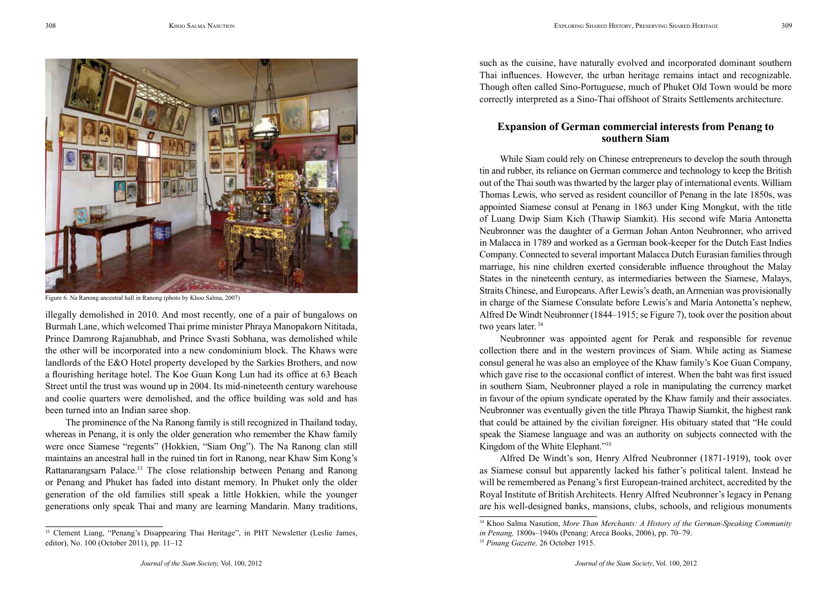

Figure 6. Na Ranong ancestral hall in Ranong (photo by Khoo Salma, 2007)

illegally demolished in 2010. And most recently, one of a pair of bungalows on Burmah Lane, which welcomed Thai prime minister Phraya Manopakorn Nititada, Prince Damrong Rajanubhab, and Prince Svasti Sobhana, was demolished while the other will be incorporated into a new condominium block. The Khaws were landlords of the E&O Hotel property developed by the Sarkies Brothers, and now a flourishing heritage hotel. The Koe Guan Kong Lun had its office at 63 Beach Street until the trust was wound up in 2004. Its mid-nineteenth century warehouse and coolie quarters were demolished, and the office building was sold and has been turned into an Indian saree shop.

The prominence of the Na Ranong family is still recognized in Thailand today, whereas in Penang, it is only the older generation who remember the Khaw family were once Siamese "regents" (Hokkien, "Siam Ong"). The Na Ranong clan still maintains an ancestral hall in the ruined tin fort in Ranong, near Khaw Sim Kong's Rattanarangsarn Palace.33 The close relationship between Penang and Ranong or Penang and Phuket has faded into distant memory. In Phuket only the older generation of the old families still speak a little Hokkien, while the younger generations only speak Thai and many are learning Mandarin. Many traditions,

such as the cuisine, have naturally evolved and incorporated dominant southern Thai influences. However, the urban heritage remains intact and recognizable. Though often called Sino-Portuguese, much of Phuket Old Town would be more correctly interpreted as a Sino-Thai offshoot of Straits Settlements architecture.

# **Expansion of German commercial interests from Penang to southern Siam**

While Siam could rely on Chinese entrepreneurs to develop the south through tin and rubber, its reliance on German commerce and technology to keep the British out of the Thai south was thwarted by the larger play of international events. William Thomas Lewis, who served as resident councillor of Penang in the late 1850s, was appointed Siamese consul at Penang in 1863 under King Mongkut, with the title of Luang Dwip Siam Kich (Thawip Siamkit). His second wife Maria Antonetta Neubronner was the daughter of a German Johan Anton Neubronner, who arrived in Malacca in 1789 and worked as a German book-keeper for the Dutch East Indies Company. Connected to several important Malacca Dutch Eurasian families through marriage, his nine children exerted considerable influence throughout the Malay States in the nineteenth century, as intermediaries between the Siamese, Malays, Straits Chinese, and Europeans. After Lewis's death, an Armenian was provisionally in charge of the Siamese Consulate before Lewis's and Maria Antonetta's nephew, Alfred De Windt Neubronner (1844–1915; se Figure 7), took over the position about two years later. 34

Neubronner was appointed agent for Perak and responsible for revenue collection there and in the western provinces of Siam. While acting as Siamese consul general he was also an employee of the Khaw family's Koe Guan Company, which gave rise to the occasional conflict of interest. When the baht was first issued in southern Siam, Neubronner played a role in manipulating the currency market in favour of the opium syndicate operated by the Khaw family and their associates. Neubronner was eventually given the title Phraya Thawip Siamkit, the highest rank that could be attained by the civilian foreigner. His obituary stated that "He could speak the Siamese language and was an authority on subjects connected with the Kingdom of the White Elephant."35

Alfred De Windt's son, Henry Alfred Neubronner (1871-1919), took over as Siamese consul but apparently lacked his father's political talent. Instead he will be remembered as Penang's first European-trained architect, accredited by the Royal Institute of British Architects. Henry Alfred Neubronner's legacy in Penang are his well-designed banks, mansions, clubs, schools, and religious monuments

<sup>&</sup>lt;sup>33</sup> Clement Liang, "Penang's Disappearing Thai Heritage", in PHT Newsletter (Leslie James, editor), No. 100 (October 2011), pp. 11–12

<sup>34</sup> Khoo Salma Nasution, *More Than Merchants: A History of the German-Speaking Community in Penang,* 1800s–1940s (Penang: Areca Books, 2006), pp. 70–79.

<sup>35</sup> *Pinang Gazette,* 26 October 1915.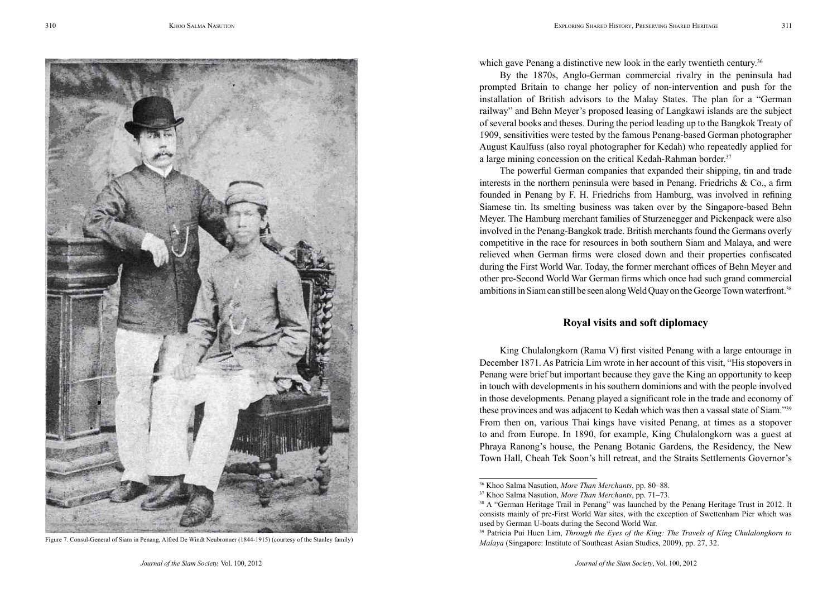

which gave Penang a distinctive new look in the early twentieth century.<sup>36</sup>

By the 1870s, Anglo-German commercial rivalry in the peninsula had prompted Britain to change her policy of non-intervention and push for the installation of British advisors to the Malay States. The plan for a "German railway" and Behn Meyer's proposed leasing of Langkawi islands are the subject of several books and theses. During the period leading up to the Bangkok Treaty of 1909, sensitivities were tested by the famous Penang-based German photographer August Kaulfuss (also royal photographer for Kedah) who repeatedly applied for a large mining concession on the critical Kedah-Rahman border.<sup>37</sup>

The powerful German companies that expanded their shipping, tin and trade interests in the northern peninsula were based in Penang. Friedrichs & Co., a firm founded in Penang by F. H. Friedrichs from Hamburg, was involved in refining Siamese tin. Its smelting business was taken over by the Singapore-based Behn Meyer. The Hamburg merchant families of Sturzenegger and Pickenpack were also involved in the Penang-Bangkok trade. British merchants found the Germans overly competitive in the race for resources in both southern Siam and Malaya, and were relieved when German firms were closed down and their properties confiscated during the First World War. Today, the former merchant offices of Behn Meyer and other pre-Second World War German firms which once had such grand commercial ambitions in Siam can still be seen along Weld Quay on the George Town waterfront.<sup>38</sup>

### **Royal visits and soft diplomacy**

King Chulalongkorn (Rama V) first visited Penang with a large entourage in December 1871. As Patricia Lim wrote in her account of this visit, "His stopovers in Penang were brief but important because they gave the King an opportunity to keep in touch with developments in his southern dominions and with the people involved in those developments. Penang played a significant role in the trade and economy of these provinces and was adjacent to Kedah which was then a vassal state of Siam."39 From then on, various Thai kings have visited Penang, at times as a stopover to and from Europe. In 1890, for example, King Chulalongkorn was a guest at Phraya Ranong's house, the Penang Botanic Gardens, the Residency, the New Town Hall, Cheah Tek Soon's hill retreat, and the Straits Settlements Governor's

<sup>36</sup> Khoo Salma Nasution, *More Than Merchants*, pp. 80–88.

<sup>&</sup>lt;sup>37</sup> Khoo Salma Nasution, *More Than Merchants*, pp. 71–73.<br><sup>38</sup> A "German Heritage Trail in Penang" was launched by the Penang Heritage Trust in 2012. It consists mainly of pre-First World War sites, with the exception of Swettenham Pier which was used by German U-boats during the Second World War.

<sup>39</sup> Patricia Pui Huen Lim, *Through the Eyes of the King: The Travels of King Chulalongkorn to*  Figure 7. Consul-General of Siam in Penang, Alfred De Windt Neubronner (1844-1915) (courtesy of the Stanley family)<br>Malaya (Singapore: Institute of Southeast Asian Studies, 2009), pp. 27, 32.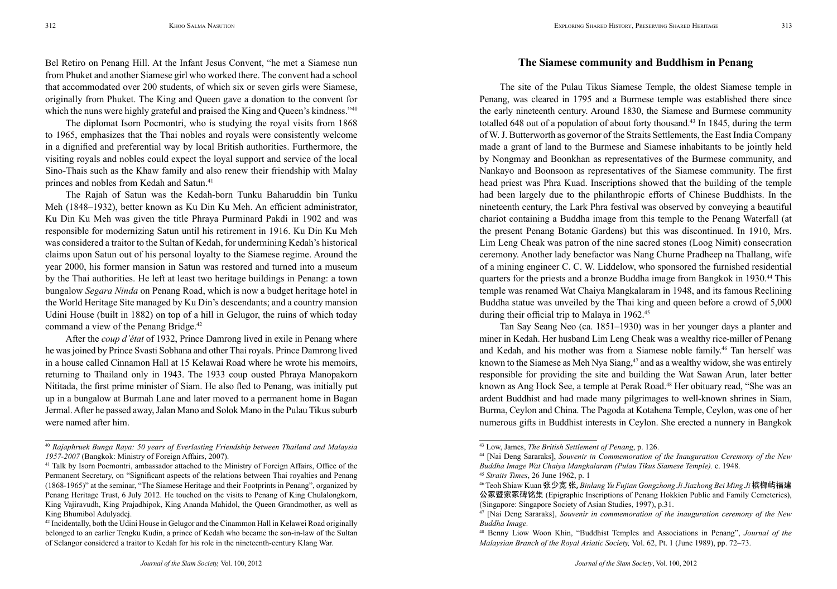Bel Retiro on Penang Hill. At the Infant Jesus Convent, "he met a Siamese nun from Phuket and another Siamese girl who worked there. The convent had a school that accommodated over 200 students, of which six or seven girls were Siamese, originally from Phuket. The King and Queen gave a donation to the convent for which the nuns were highly grateful and praised the King and Queen's kindness."<sup>40</sup>

The diplomat Isorn Pocmontri, who is studying the royal visits from 1868 to 1965, emphasizes that the Thai nobles and royals were consistently welcome in a dignified and preferential way by local British authorities. Furthermore, the visiting royals and nobles could expect the loyal support and service of the local Sino-Thais such as the Khaw family and also renew their friendship with Malay princes and nobles from Kedah and Satun.<sup>41</sup>

The Rajah of Satun was the Kedah-born Tunku Baharuddin bin Tunku Meh (1848–1932), better known as Ku Din Ku Meh. An efficient administrator, Ku Din Ku Meh was given the title Phraya Purminard Pakdi in 1902 and was responsible for modernizing Satun until his retirement in 1916. Ku Din Ku Meh was considered a traitor to the Sultan of Kedah, for undermining Kedah's historical claims upon Satun out of his personal loyalty to the Siamese regime. Around the year 2000, his former mansion in Satun was restored and turned into a museum by the Thai authorities. He left at least two heritage buildings in Penang: a town bungalow *Segara Ninda* on Penang Road, which is now a budget heritage hotel in the World Heritage Site managed by Ku Din's descendants; and a country mansion Udini House (built in 1882) on top of a hill in Gelugor, the ruins of which today command a view of the Penang Bridge.<sup>42</sup>

After the *coup d'état* of 1932, Prince Damrong lived in exile in Penang where he was joined by Prince Svasti Sobhana and other Thai royals. Prince Damrong lived in a house called Cinnamon Hall at 15 Kelawai Road where he wrote his memoirs, returning to Thailand only in 1943. The 1933 coup ousted Phraya Manopakorn Nititada, the first prime minister of Siam. He also fled to Penang, was initially put up in a bungalow at Burmah Lane and later moved to a permanent home in Bagan Jermal. After he passed away, Jalan Mano and Solok Mano in the Pulau Tikus suburb were named after him.

### **The Siamese community and Buddhism in Penang**

The site of the Pulau Tikus Siamese Temple, the oldest Siamese temple in Penang, was cleared in 1795 and a Burmese temple was established there since the early nineteenth century. Around 1830, the Siamese and Burmese community totalled 648 out of a population of about forty thousand.43 In 1845, during the term of W. J. Butterworth as governor of the Straits Settlements, the East India Company made a grant of land to the Burmese and Siamese inhabitants to be jointly held by Nongmay and Boonkhan as representatives of the Burmese community, and Nankayo and Boonsoon as representatives of the Siamese community. The first head priest was Phra Kuad. Inscriptions showed that the building of the temple had been largely due to the philanthropic efforts of Chinese Buddhists. In the nineteenth century, the Lark Phra festival was observed by conveying a beautiful chariot containing a Buddha image from this temple to the Penang Waterfall (at the present Penang Botanic Gardens) but this was discontinued. In 1910, Mrs. Lim Leng Cheak was patron of the nine sacred stones (Loog Nimit) consecration ceremony. Another lady benefactor was Nang Churne Pradheep na Thallang, wife of a mining engineer C. C. W. Liddelow, who sponsored the furnished residential quarters for the priests and a bronze Buddha image from Bangkok in 1930.44 This temple was renamed Wat Chaiya Mangkalaram in 1948, and its famous Reclining Buddha statue was unveiled by the Thai king and queen before a crowd of 5,000 during their official trip to Malaya in 1962.<sup>45</sup>

Tan Say Seang Neo (ca. 1851–1930) was in her younger days a planter and miner in Kedah. Her husband Lim Leng Cheak was a wealthy rice-miller of Penang and Kedah, and his mother was from a Siamese noble family.46 Tan herself was known to the Siamese as Meh Nya Siang,<sup>47</sup> and as a wealthy widow, she was entirely responsible for providing the site and building the Wat Sawan Arun, later better known as Ang Hock See, a temple at Perak Road.<sup>48</sup> Her obituary read, "She was an ardent Buddhist and had made many pilgrimages to well-known shrines in Siam, Burma, Ceylon and China. The Pagoda at Kotahena Temple, Ceylon, was one of her numerous gifts in Buddhist interests in Ceylon. She erected a nunnery in Bangkok

<sup>40</sup> *Rajaphruek Bunga Raya: 50 years of Everlasting Friendship between Thailand and Malaysia 1957-2007* (Bangkok: Ministry of Foreign Affairs, 2007).

<sup>41</sup> Talk by Isorn Pocmontri, ambassador attached to the Ministry of Foreign Affairs, Office of the Permanent Secretary, on "Significant aspects of the relations between Thai royalties and Penang (1868-1965)" at the seminar, "The Siamese Heritage and their Footprints in Penang", organized by Penang Heritage Trust, 6 July 2012. He touched on the visits to Penang of King Chulalongkorn, King Vajiravudh, King Prajadhipok, King Ananda Mahidol, the Queen Grandmother, as well as King Bhumibol Adulyadej.

<sup>42</sup> Incidentally, both the Udini House in Gelugor and the Cinammon Hall in Kelawei Road originally belonged to an earlier Tengku Kudin, a prince of Kedah who became the son-in-law of the Sultan of Selangor considered a traitor to Kedah for his role in the nineteenth-century Klang War.

<sup>43</sup> Low, James, *The British Settlement of Penang*, p. 126.

<sup>44 [</sup>Nai Deng Sararaks], *Souvenir in Commemoration of the Inauguration Ceremony of the New Buddha Image Wat Chaiya Mangkalaram (Pulau Tikus Siamese Temple).* c. 1948.

<sup>45</sup> *Straits Times*, 26 June 1962, p. 1

<sup>46</sup> Teoh Shiaw Kuan 张少宽 张, *Binlang Yu Fujian Gongzhong Ji Jiazhong Bei Ming Ji* 槟榔屿福建 公冢暨家冢碑铭集 (Epigraphic Inscriptions of Penang Hokkien Public and Family Cemeteries), (Singapore: Singapore Society of Asian Studies, 1997), p.31.

<sup>47 [</sup>Nai Deng Sararaks], *Souvenir in commemoration of the inauguration ceremony of the New Buddha Image.*

<sup>48</sup> Benny Liow Woon Khin, "Buddhist Temples and Associations in Penang", *Journal of the Malaysian Branch of the Royal Asiatic Society,* Vol. 62, Pt. 1 (June 1989), pp. 72–73.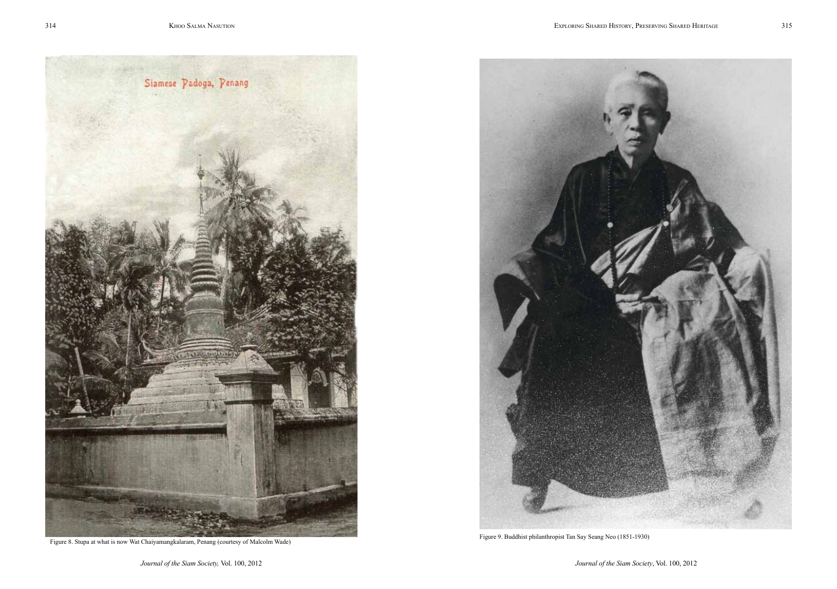

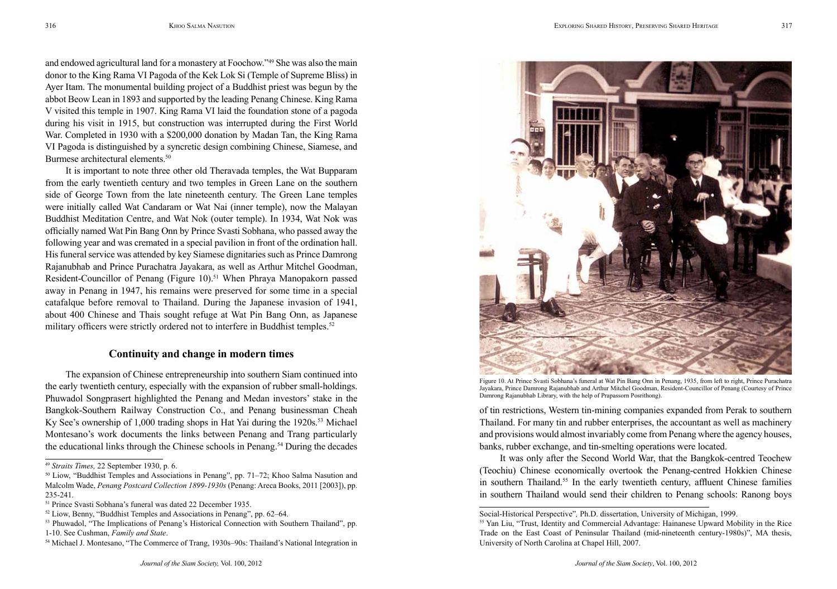and endowed agricultural land for a monastery at Foochow."49 She was also the main donor to the King Rama VI Pagoda of the Kek Lok Si (Temple of Supreme Bliss) in Ayer Itam. The monumental building project of a Buddhist priest was begun by the abbot Beow Lean in 1893 and supported by the leading Penang Chinese. King Rama V visited this temple in 1907. King Rama VI laid the foundation stone of a pagoda during his visit in 1915, but construction was interrupted during the First World War. Completed in 1930 with a \$200,000 donation by Madan Tan, the King Rama VI Pagoda is distinguished by a syncretic design combining Chinese, Siamese, and Burmese architectural elements.<sup>50</sup>

It is important to note three other old Theravada temples, the Wat Bupparam from the early twentieth century and two temples in Green Lane on the southern side of George Town from the late nineteenth century. The Green Lane temples were initially called Wat Candaram or Wat Nai (inner temple), now the Malayan Buddhist Meditation Centre, and Wat Nok (outer temple). In 1934, Wat Nok was officially named Wat Pin Bang Onn by Prince Svasti Sobhana, who passed away the following year and was cremated in a special pavilion in front of the ordination hall. His funeral service was attended by key Siamese dignitaries such as Prince Damrong Rajanubhab and Prince Purachatra Jayakara, as well as Arthur Mitchel Goodman, Resident-Councillor of Penang (Figure 10).<sup>51</sup> When Phraya Manopakorn passed away in Penang in 1947, his remains were preserved for some time in a special catafalque before removal to Thailand. During the Japanese invasion of 1941, about 400 Chinese and Thais sought refuge at Wat Pin Bang Onn, as Japanese military officers were strictly ordered not to interfere in Buddhist temples.<sup>52</sup>

### **Continuity and change in modern times**

The expansion of Chinese entrepreneurship into southern Siam continued into the early twentieth century, especially with the expansion of rubber small-holdings. Phuwadol Songprasert highlighted the Penang and Medan investors' stake in the Bangkok-Southern Railway Construction Co., and Penang businessman Cheah Ky See's ownership of  $1,000$  trading shops in Hat Yai during the  $1920s$ .<sup>53</sup> Michael Montesano's work documents the links between Penang and Trang particularly the educational links through the Chinese schools in Penang.54 During the decades



Social-Historical Perspective"*,* Ph.D. dissertation, University of Michigan, 1999.

Damrong Rajanubhab Library, with the help of Prapassorn Posrithong).

of tin restrictions, Western tin-mining companies expanded from Perak to southern Thailand. For many tin and rubber enterprises, the accountant as well as machinery and provisions would almost invariably come from Penang where the agency houses,



<sup>49</sup> *Straits Times,* 22 September 1930, p. 6.

<sup>&</sup>lt;sup>50</sup> Liow, "Buddhist Temples and Associations in Penang", pp. 71–72; Khoo Salma Nasution and Malcolm Wade, *Penang Postcard Collection 1899-1930s* (Penang: Areca Books, 2011 [2003]), pp. 235-241.

<sup>51</sup> Prince Svasti Sobhana's funeral was dated 22 December 1935.

<sup>&</sup>lt;sup>52</sup> Liow, Benny, "Buddhist Temples and Associations in Penang", pp. 62–64.

<sup>&</sup>lt;sup>53</sup> Phuwadol, "The Implications of Penang's Historical Connection with Southern Thailand", pp. 1-10. See Cushman, *Family and State*.

<sup>54</sup> Michael J. Montesano, "The Commerce of Trang, 1930s–90s: Thailand's National Integration in

<sup>55</sup> Yan Liu, "Trust, Identity and Commercial Advantage: Hainanese Upward Mobility in the Rice Trade on the East Coast of Peninsular Thailand (mid-nineteenth century-1980s)", MA thesis, University of North Carolina at Chapel Hill, 2007.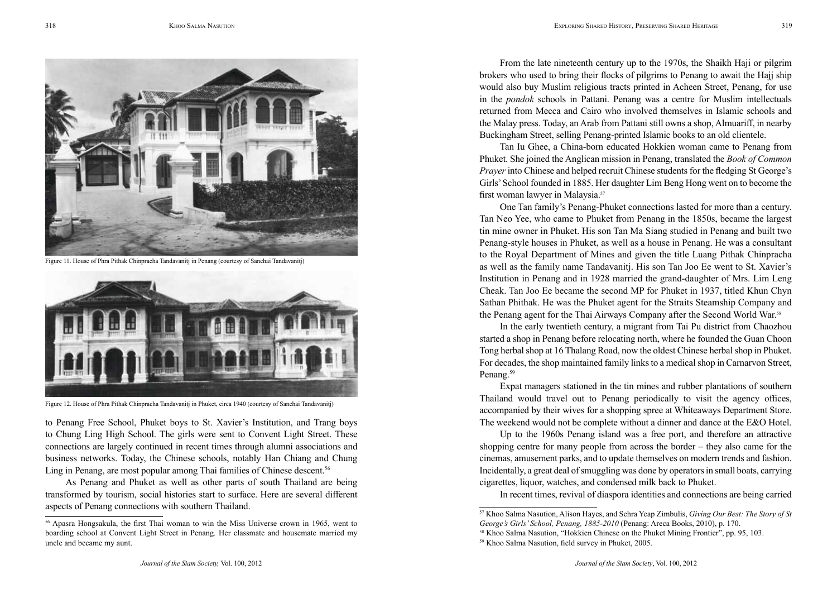

Figure 11. House of Phra Pithak Chinpracha Tandavanitj in Penang (courtesy of Sanchai Tandavanitj)



Figure 12. House of Phra Pithak Chinpracha Tandavanitj in Phuket, circa 1940 (courtesy of Sanchai Tandavanitj)

to Penang Free School, Phuket boys to St. Xavier's Institution, and Trang boys to Chung Ling High School. The girls were sent to Convent Light Street. These connections are largely continued in recent times through alumni associations and business networks. Today, the Chinese schools, notably Han Chiang and Chung Ling in Penang, are most popular among Thai families of Chinese descent.<sup>56</sup>

As Penang and Phuket as well as other parts of south Thailand are being transformed by tourism, social histories start to surface. Here are several different aspects of Penang connections with southern Thailand.

From the late nineteenth century up to the 1970s, the Shaikh Haji or pilgrim brokers who used to bring their flocks of pilgrims to Penang to await the Hajj ship would also buy Muslim religious tracts printed in Acheen Street, Penang, for use in the *pondok* schools in Pattani. Penang was a centre for Muslim intellectuals returned from Mecca and Cairo who involved themselves in Islamic schools and the Malay press. Today, an Arab from Pattani still owns a shop, Almuariff, in nearby Buckingham Street, selling Penang-printed Islamic books to an old clientele.

Tan Iu Ghee, a China-born educated Hokkien woman came to Penang from Phuket. She joined the Anglican mission in Penang, translated the *Book of Common Prayer* into Chinese and helped recruit Chinese students for the fledging St George's Girls' School founded in 1885. Her daughter Lim Beng Hong went on to become the first woman lawyer in Malaysia.<sup>57</sup>

One Tan family's Penang-Phuket connections lasted for more than a century. Tan Neo Yee, who came to Phuket from Penang in the 1850s, became the largest tin mine owner in Phuket. His son Tan Ma Siang studied in Penang and built two Penang-style houses in Phuket, as well as a house in Penang. He was a consultant to the Royal Department of Mines and given the title Luang Pithak Chinpracha as well as the family name Tandavanitj. His son Tan Joo Ee went to St. Xavier's Institution in Penang and in 1928 married the grand-daughter of Mrs. Lim Leng Cheak. Tan Joo Ee became the second MP for Phuket in 1937, titled Khun Chyn Sathan Phithak. He was the Phuket agent for the Straits Steamship Company and the Penang agent for the Thai Airways Company after the Second World War.58

In the early twentieth century, a migrant from Tai Pu district from Chaozhou started a shop in Penang before relocating north, where he founded the Guan Choon Tong herbal shop at 16 Thalang Road, now the oldest Chinese herbal shop in Phuket. For decades, the shop maintained family links to a medical shop in Carnarvon Street, Penang.<sup>59</sup>

Expat managers stationed in the tin mines and rubber plantations of southern Thailand would travel out to Penang periodically to visit the agency offices, accompanied by their wives for a shopping spree at Whiteaways Department Store. The weekend would not be complete without a dinner and dance at the E&O Hotel.

Up to the 1960s Penang island was a free port, and therefore an attractive shopping centre for many people from across the border – they also came for the cinemas, amusement parks, and to update themselves on modern trends and fashion. Incidentally, a great deal of smuggling was done by operators in small boats, carrying cigarettes, liquor, watches, and condensed milk back to Phuket.

In recent times, revival of diaspora identities and connections are being carried

<sup>56</sup> Apasra Hongsakula, the first Thai woman to win the Miss Universe crown in 1965, went to boarding school at Convent Light Street in Penang. Her classmate and housemate married my uncle and became my aunt.

<sup>57</sup> Khoo Salma Nasution, Alison Hayes, and Sehra Yeap Zimbulis, *Giving Our Best: The Story of St George's Girls' School, Penang, 1885-2010* (Penang: Areca Books, 2010), p. 170.

<sup>&</sup>lt;sup>58</sup> Khoo Salma Nasution, "Hokkien Chinese on the Phuket Mining Frontier", pp. 95, 103.

<sup>59</sup> Khoo Salma Nasution, field survey in Phuket, 2005.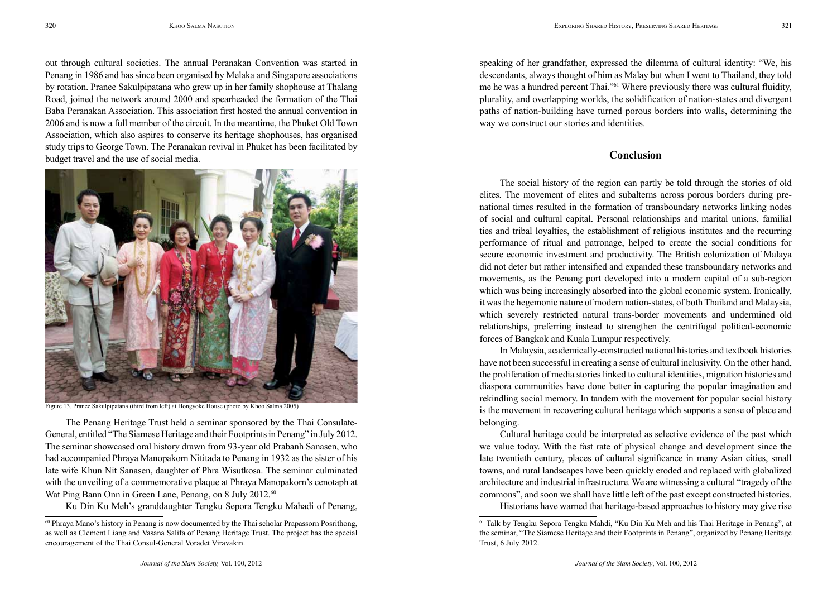out through cultural societies. The annual Peranakan Convention was started in Penang in 1986 and has since been organised by Melaka and Singapore associations by rotation. Pranee Sakulpipatana who grew up in her family shophouse at Thalang Road, joined the network around 2000 and spearheaded the formation of the Thai Baba Peranakan Association. This association first hosted the annual convention in 2006 and is now a full member of the circuit. In the meantime, the Phuket Old Town Association, which also aspires to conserve its heritage shophouses, has organised study trips to George Town. The Peranakan revival in Phuket has been facilitated by budget travel and the use of social media.



Figure 13. Pranee Sakulpipatana (third from left) at Hongyoke House (photo by Khoo Salma 2005)

The Penang Heritage Trust held a seminar sponsored by the Thai Consulate-General, entitled "The Siamese Heritage and their Footprints in Penang" in July 2012. The seminar showcased oral history drawn from 93-year old Prabanh Sanasen, who had accompanied Phraya Manopakorn Nititada to Penang in 1932 as the sister of his late wife Khun Nit Sanasen, daughter of Phra Wisutkosa. The seminar culminated with the unveiling of a commemorative plaque at Phraya Manopakorn's cenotaph at Wat Ping Bann Onn in Green Lane, Penang, on 8 July 2012.<sup>60</sup>

Ku Din Ku Meh's granddaughter Tengku Sepora Tengku Mahadi of Penang,

speaking of her grandfather, expressed the dilemma of cultural identity: "We, his descendants, always thought of him as Malay but when I went to Thailand, they told me he was a hundred percent Thai."61 Where previously there was cultural fluidity, plurality, and overlapping worlds, the solidification of nation-states and divergent paths of nation-building have turned porous borders into walls, determining the way we construct our stories and identities.

#### **Conclusion**

The social history of the region can partly be told through the stories of old elites. The movement of elites and subalterns across porous borders during prenational times resulted in the formation of transboundary networks linking nodes of social and cultural capital. Personal relationships and marital unions, familial ties and tribal loyalties, the establishment of religious institutes and the recurring performance of ritual and patronage, helped to create the social conditions for secure economic investment and productivity. The British colonization of Malaya did not deter but rather intensified and expanded these transboundary networks and movements, as the Penang port developed into a modern capital of a sub-region which was being increasingly absorbed into the global economic system. Ironically, it was the hegemonic nature of modern nation-states, of both Thailand and Malaysia, which severely restricted natural trans-border movements and undermined old relationships, preferring instead to strengthen the centrifugal political-economic forces of Bangkok and Kuala Lumpur respectively.

In Malaysia, academically-constructed national histories and textbook histories have not been successful in creating a sense of cultural inclusivity. On the other hand, the proliferation of media stories linked to cultural identities, migration histories and diaspora communities have done better in capturing the popular imagination and rekindling social memory. In tandem with the movement for popular social history is the movement in recovering cultural heritage which supports a sense of place and belonging.

Cultural heritage could be interpreted as selective evidence of the past which we value today. With the fast rate of physical change and development since the late twentieth century, places of cultural significance in many Asian cities, small towns, and rural landscapes have been quickly eroded and replaced with globalized architecture and industrial infrastructure. We are witnessing a cultural "tragedy of the commons", and soon we shall have little left of the past except constructed histories.

Historians have warned that heritage-based approaches to history may give rise

<sup>&</sup>lt;sup>60</sup> Phraya Mano's history in Penang is now documented by the Thai scholar Prapassorn Posrithong, as well as Clement Liang and Vasana Salifa of Penang Heritage Trust. The project has the special encouragement of the Thai Consul-General Voradet Viravakin.

<sup>61</sup> Talk by Tengku Sepora Tengku Mahdi, "Ku Din Ku Meh and his Thai Heritage in Penang", at the seminar, "The Siamese Heritage and their Footprints in Penang", organized by Penang Heritage Trust, 6 July 2012.